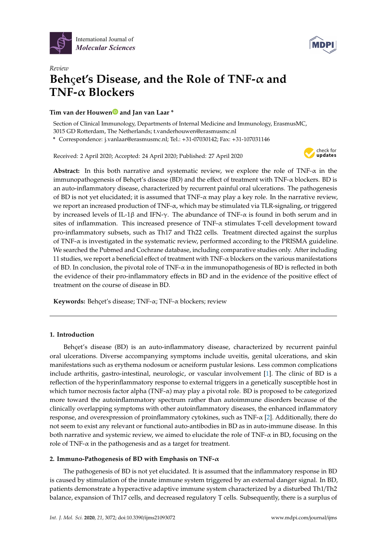



# *Review* **Beh**ҫ**et's Disease, and the Role of TNF-**α **and TNF-**α **Blockers**

# **Tim van der Houwe[n](https://orcid.org/0000-0002-5896-7033) and Jan van Laar \***

Section of Clinical Immunology, Departments of Internal Medicine and Immunology, ErasmusMC, 3015 GD Rotterdam, The Netherlands; t.vanderhouwen@erasmusmc.nl

**\*** Correspondence: j.vanlaar@erasmusmc.nl; Tel.: +31-07030142; Fax: +31-107031146

Received: 2 April 2020; Accepted: 24 April 2020; Published: 27 April 2020



**Abstract:** In this both narrative and systematic review, we explore the role of TNF-α in the immunopathogenesis of Behçet's disease (BD) and the effect of treatment with  $TNF-\alpha$  blockers. BD is an auto-inflammatory disease, characterized by recurrent painful oral ulcerations. The pathogenesis of BD is not yet elucidated; it is assumed that  $TNF-\alpha$  may play a key role. In the narrative review, we report an increased production of TNF- $\alpha$ , which may be stimulated via TLR-signaling, or triggered by increased levels of IL-1β and IFN- $\gamma$ . The abundance of TNF- $\alpha$  is found in both serum and in sites of inflammation. This increased presence of TNF-α stimulates T-cell development toward pro-inflammatory subsets, such as Th17 and Th22 cells. Treatment directed against the surplus of TNF-α is investigated in the systematic review, performed according to the PRISMA guideline. We searched the Pubmed and Cochrane database, including comparative studies only. After including 11 studies, we report a beneficial effect of treatment with TNF-α blockers on the various manifestations of BD. In conclusion, the pivotal role of TNF- $\alpha$  in the immunopathogenesis of BD is reflected in both the evidence of their pro-inflammatory effects in BD and in the evidence of the positive effect of treatment on the course of disease in BD.

**Keywords:** Behçet's disease; TNF-α; TNF-α blockers; review

# **1. Introduction**

Behçet's disease (BD) is an auto-inflammatory disease, characterized by recurrent painful oral ulcerations. Diverse accompanying symptoms include uveitis, genital ulcerations, and skin manifestations such as erythema nodosum or acneiform pustular lesions. Less common complications include arthritis, gastro-intestinal, neurologic, or vascular involvement [\[1\]](#page-10-0). The clinic of BD is a reflection of the hyperinflammatory response to external triggers in a genetically susceptible host in which tumor necrosis factor alpha (TNF-α) may play a pivotal role. BD is proposed to be categorized more toward the autoinflammatory spectrum rather than autoimmune disorders because of the clinically overlapping symptoms with other autoinflammatory diseases, the enhanced inflammatory response, and overexpression of proinflammatory cytokines, such as  $TNF-\alpha$  [\[2\]](#page-10-1). Additionally, there do not seem to exist any relevant or functional auto-antibodies in BD as in auto-immune disease. In this both narrative and systemic review, we aimed to elucidate the role of TNF-α in BD, focusing on the role of TNF- $\alpha$  in the pathogenesis and as a target for treatment.

# **2. Immuno-Pathogenesis of BD with Emphasis on TNF-**α

The pathogenesis of BD is not yet elucidated. It is assumed that the inflammatory response in BD is caused by stimulation of the innate immune system triggered by an external danger signal. In BD, patients demonstrate a hyperactive adaptive immune system characterized by a disturbed Th1/Th2 balance, expansion of Th17 cells, and decreased regulatory T cells. Subsequently, there is a surplus of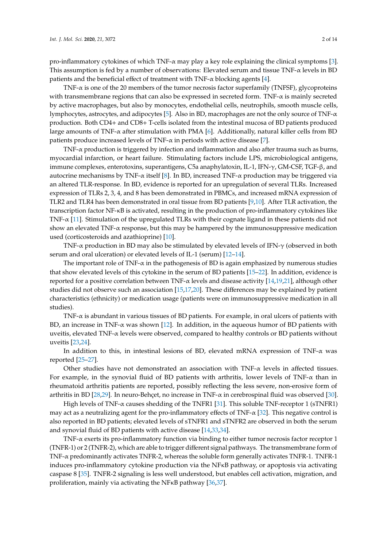pro-inflammatory cytokines of which TNF-α may play a key role explaining the clinical symptoms [\[3\]](#page-10-2). This assumption is fed by a number of observations: Elevated serum and tissue  $TNF-\alpha$  levels in BD patients and the beneficial effect of treatment with  $TNF-\alpha$  blocking agents [\[4\]](#page-10-3).

TNF-α is one of the 20 members of the tumor necrosis factor superfamily (TNFSF), glycoproteins with transmembrane regions that can also be expressed in secreted form. TNF- $\alpha$  is mainly secreted by active macrophages, but also by monocytes, endothelial cells, neutrophils, smooth muscle cells, lymphocytes, astrocytes, and adipocytes [\[5\]](#page-10-4). Also in BD, macrophages are not the only source of TNF- $\alpha$ production. Both CD4+ and CD8+ T-cells isolated from the intestinal mucosa of BD patients produced large amounts of TNF- $\alpha$  after stimulation with PMA [\[6\]](#page-10-5). Additionally, natural killer cells from BD patients produce increased levels of TNF- $\alpha$  in periods with active disease [\[7\]](#page-10-6).

TNF-α production is triggered by infection and inflammation and also after trauma such as burns, myocardial infarction, or heart failure. Stimulating factors include LPS, microbiological antigens, immune complexes, enterotoxins, superantigens, C5a anaphylatoxin, IL-1, IFN-γ, GM-CSF, TGF-β, and autocrine mechanisms by TNF- $\alpha$  itself [\[8\]](#page-10-7). In BD, increased TNF- $\alpha$  production may be triggered via an altered TLR-response. In BD, evidence is reported for an upregulation of several TLRs. Increased expression of TLRs 2, 3, 4, and 8 has been demonstrated in PBMCs, and increased mRNA expression of TLR2 and TLR4 has been demonstrated in oral tissue from BD patients [\[9](#page-10-8)[,10\]](#page-10-9). After TLR activation, the transcription factor NF-κB is activated, resulting in the production of pro-inflammatory cytokines like TNF-α [\[11\]](#page-10-10). Stimulation of the upregulated TLRs with their cognate ligand in these patients did not show an elevated TNF- $\alpha$  response, but this may be hampered by the immunosuppressive medication used (corticosteroids and azathioprine) [\[10\]](#page-10-9).

TNF-α production in BD may also be stimulated by elevated levels of IFN-γ (observed in both serum and oral ulceration) or elevated levels of IL-1 (serum) [\[12–](#page-10-11)[14\]](#page-10-12).

The important role of  $TNF-\alpha$  in the pathogenesis of BD is again emphasized by numerous studies that show elevated levels of this cytokine in the serum of BD patients [\[15–](#page-11-0)[22\]](#page-11-1). In addition, evidence is reported for a positive correlation between TNF-α levels and disease activity [\[14](#page-10-12)[,19](#page-11-2)[,21\]](#page-11-3), although other studies did not observe such an association [\[15](#page-11-0)[,17](#page-11-4)[,20\]](#page-11-5). These differences may be explained by patient characteristics (ethnicity) or medication usage (patients were on immunosuppressive medication in all studies).

TNF-α is abundant in various tissues of BD patients. For example, in oral ulcers of patients with BD, an increase in TNF- $\alpha$  was shown [\[12\]](#page-10-11). In addition, in the aqueous humor of BD patients with uveitis, elevated TNF- $\alpha$  levels were observed, compared to healthy controls or BD patients without uveitis [\[23](#page-11-6)[,24\]](#page-11-7).

In addition to this, in intestinal lesions of BD, elevated mRNA expression of TNF- $\alpha$  was reported [\[25](#page-11-8)[–27\]](#page-11-9).

Other studies have not demonstrated an association with  $TNF-\alpha$  levels in affected tissues. For example, in the synovial fluid of BD patients with arthritis, lower levels of TNF- $\alpha$  than in rheumatoid arthritis patients are reported, possibly reflecting the less severe, non-erosive form of arthritis in BD [\[28,](#page-11-10)[29\]](#page-11-11). In neuro-Behçet, no increase in TNF- $\alpha$  in cerebrospinal fluid was observed [\[30\]](#page-11-12).

High levels of TNF- $\alpha$  causes shedding of the TNFR1 [\[31\]](#page-11-13). This soluble TNF-receptor 1 (sTNFR1) may act as a neutralizing agent for the pro-inflammatory effects of TNF- $\alpha$  [\[32\]](#page-11-14). This negative control is also reported in BD patients; elevated levels of sTNFR1 and sTNFR2 are observed in both the serum and synovial fluid of BD patients with active disease [\[14](#page-10-12)[,33](#page-11-15)[,34\]](#page-11-16).

TNF-α exerts its pro-inflammatory function via binding to either tumor necrosis factor receptor 1 (TNFR-1) or 2 (TNFR-2), which are able to trigger different signal pathways. The transmembrane form of TNF-α predominantly activates TNFR-2, whereas the soluble form generally activates TNFR-1. TNFR-1 induces pro-inflammatory cytokine production via the NFκB pathway, or apoptosis via activating caspase 8 [\[35\]](#page-12-0). TNFR-2 signaling is less well understood, but enables cell activation, migration, and proliferation, mainly via activating the NFκB pathway [\[36](#page-12-1)[,37\]](#page-12-2).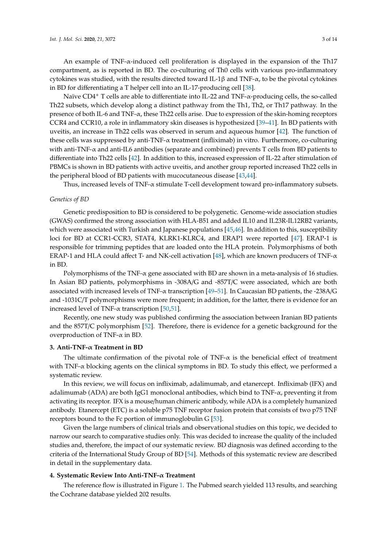An example of TNF-α-induced cell proliferation is displayed in the expansion of the Th17 compartment, as is reported in BD. The co-culturing of Th0 cells with various pro-inflammatory cytokines was studied, with the results directed toward IL-1β and TNF-α, to be the pivotal cytokines in BD for differentiating a T helper cell into an IL-17-producing cell [\[38\]](#page-12-3).

Naïve CD4<sup>+</sup> T cells are able to differentiate into IL-22 and TNF- $\alpha$ -producing cells, the so-called Th22 subsets, which develop along a distinct pathway from the Th1, Th2, or Th17 pathway. In the presence of both IL-6 and TNF- $\alpha$ , these Th22 cells arise. Due to expression of the skin-homing receptors CCR4 and CCR10, a role in inflammatory skin diseases is hypothesized [\[39–](#page-12-4)[41\]](#page-12-5). In BD patients with uveitis, an increase in Th22 cells was observed in serum and aqueous humor [\[42\]](#page-12-6). The function of these cells was suppressed by anti-TNF-α treatment (infliximab) in vitro. Furthermore, co-culturing with anti-TNF-α and anti-IL6 antibodies (separate and combined) prevents T cells from BD patients to differentiate into Th22 cells [\[42\]](#page-12-6). In addition to this, increased expression of IL-22 after stimulation of PBMCs is shown in BD patients with active uveitis, and another group reported increased Th22 cells in the peripheral blood of BD patients with mucocutaneous disease [\[43](#page-12-7)[,44\]](#page-12-8).

Thus, increased levels of TNF-α stimulate T-cell development toward pro-inflammatory subsets.

#### *Genetics of BD*

Genetic predisposition to BD is considered to be polygenetic. Genome-wide association studies (GWAS) confirmed the strong association with HLA-B51 and added IL10 and IL23R-IL12RB2 variants, which were associated with Turkish and Japanese populations [\[45,](#page-12-9)[46\]](#page-12-10). In addition to this, susceptibility loci for BD at CCR1-CCR3, STAT4, KLRK1-KLRC4, and ERAP1 were reported [\[47\]](#page-12-11). ERAP-1 is responsible for trimming peptides that are loaded onto the HLA protein. Polymorphisms of both ERAP-1 and HLA could affect T- and NK-cell activation [\[48\]](#page-12-12), which are known producers of TNF- $\alpha$ in BD.

Polymorphisms of the TNF- $\alpha$  gene associated with BD are shown in a meta-analysis of 16 studies. In Asian BD patients, polymorphisms in -308A/G and -857T/C were associated, which are both associated with increased levels of TNF- $\alpha$  transcription [\[49–](#page-12-13)[51\]](#page-12-14). In Caucasian BD patients, the -238A/G and -1031C/T polymorphisms were more frequent; in addition, for the latter, there is evidence for an increased level of TNF-α transcription [\[50](#page-12-15)[,51\]](#page-12-14).

Recently, one new study was published confirming the association between Iranian BD patients and the 857T/C polymorphism [\[52\]](#page-12-16). Therefore, there is evidence for a genetic background for the overproduction of TNF-α in BD.

#### **3. Anti-TNF-**α **Treatment in BD**

The ultimate confirmation of the pivotal role of  $TNF-\alpha$  is the beneficial effect of treatment with TNF- $\alpha$  blocking agents on the clinical symptoms in BD. To study this effect, we performed a systematic review.

In this review, we will focus on infliximab, adalimumab, and etanercept. Infliximab (IFX) and adalimumab (ADA) are both IgG1 monoclonal antibodies, which bind to TNF- $\alpha$ , preventing it from activating its receptor. IFX is a mouse/human chimeric antibody, while ADA is a completely humanized antibody. Etanercept (ETC) is a soluble p75 TNF receptor fusion protein that consists of two p75 TNF receptors bound to the Fc portion of immunoglobulin G [\[53\]](#page-12-17).

Given the large numbers of clinical trials and observational studies on this topic, we decided to narrow our search to comparative studies only. This was decided to increase the quality of the included studies and, therefore, the impact of our systematic review. BD diagnosis was defined according to the criteria of the International Study Group of BD [\[54\]](#page-12-18). Methods of this systematic review are described in detail in the supplementary data.

#### **4. Systematic Review Into Anti-TNF-**α **Treatment**

The reference flow is illustrated in Figure [1.](#page-3-0) The Pubmed search yielded 113 results, and searching the Cochrane database yielded 202 results.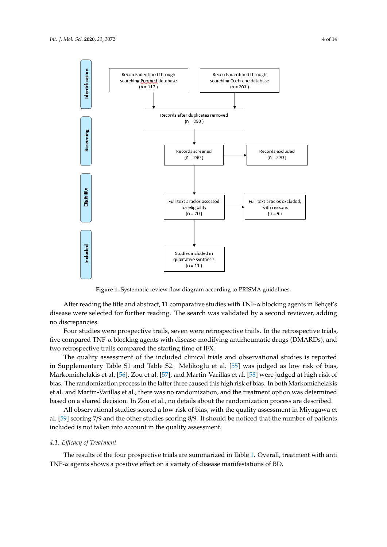<span id="page-3-0"></span>

**Figure 1.** Systematic review flow diagram according to PRISMA guidelines. **Figure 1.** Systematic review flow diagram according to PRISMA guidelines.

After reading the title and abstract, 11 comparative studies with TNF-α blocking agents in After reading the title and abstract, 11 comparative studies with TNF-α blocking agents in Behçet's disease were selected for further reading. The search was validated by a second reviewer, adding no discrepancies.

Four studies were prospective trails, seven were retrospective trails. In the retrospective trials, Four studies were prospective trails, seven were retrospective trails. In the retrospective trials, five compared TNF-α blocking agents with disease-modifying antirheumatic drugs (DMARDs), and five compared TNF-α blocking agents with disease-modifying antirheumatic drugs (DMARDs), and two retrospective trails compared the starting time of IFX. two retrospective trails compared the starting time of IFX. The set of the included clinical trials and observation observations is reported in  $\mathcal{L}$ 

The quality assessment of the included clinical trials and observational studies is reported in Supplementary Table S1 and Table S2. Melikoglu et al. [\[55\]](#page-12-19) was judged as low risk of bias, Markomichelakis et al. [\[56\]](#page-13-0), Zou et al. [\[57\]](#page-13-1), and Martin-Varillas et al. [\[58\]](#page-13-2) were judged at high risk of bias. The randomization process in the latter three caused this high risk of bias. In both Markomichelakis et al. and Martin-Varillas et al., there was no randomization, and the treatment option was determined based on a shared decision. In Zou et al., no details about the randomization process are described. All observational studies studies studies scored a low risk of bias, with the quality assessment in Milano and

All observational studies scored a low risk of bias, with the quality assessment in Miyagawa et al. [\[59\]](#page-13-3) scoring 7/9 and the other studies scoring 8/9. It should be noticed that the number of patients included is not taken into account in the quality assessment.

## *4.1. E*ffi*cacy of Treatment*

The results of the four prospective trials are summarized in Table [1.](#page-4-0) Overall, treatment with anti TNF-α agents shows a positive effect on a variety of disease manifestations of BD.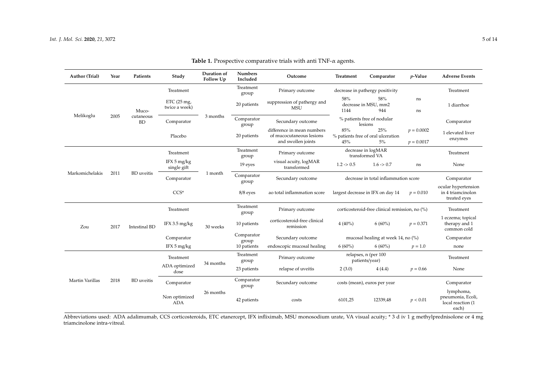| Author (Trial)         | Year | Patients                        | Study                                  | Duration of<br>Follow Up | <b>Numbers</b><br>Included | Outcome                                                                      | Treatment                                                                                                                                                                                                                                                                                | Comparator                                                                                                                                       | $p$ -Value                   | <b>Adverse Events</b>                                        |
|------------------------|------|---------------------------------|----------------------------------------|--------------------------|----------------------------|------------------------------------------------------------------------------|------------------------------------------------------------------------------------------------------------------------------------------------------------------------------------------------------------------------------------------------------------------------------------------|--------------------------------------------------------------------------------------------------------------------------------------------------|------------------------------|--------------------------------------------------------------|
|                        |      |                                 | Treatment                              |                          | Treatment<br>group         | Primary outcome                                                              |                                                                                                                                                                                                                                                                                          |                                                                                                                                                  |                              | Treatment                                                    |
|                        |      | Muco-<br>cutaneous<br><b>BD</b> | ETC $(25 \text{ mg})$<br>twice a week) | 3 months                 | 20 patients                | suppression of pathergy and<br><b>MSU</b>                                    | 58%<br>58%<br>decrease in MSU, mm2<br>944<br>1144                                                                                                                                                                                                                                        |                                                                                                                                                  | ns<br>ns                     | 1 diarrhoe                                                   |
| Melikoglu              | 2005 |                                 | Comparator                             |                          | Comparator<br>group        | Secundary outcome                                                            |                                                                                                                                                                                                                                                                                          | % patients free of nodular<br>lesions                                                                                                            |                              | Comparator                                                   |
|                        |      |                                 | Placebo                                |                          | 20 patients                | difference in mean numbers<br>of mucocutaneous lesions<br>and swollen joints | 85%<br>25%<br>% patients free of oral ulceration<br>45%<br>5%                                                                                                                                                                                                                            |                                                                                                                                                  | $p = 0.0002$<br>$p = 0.0017$ | 1 elevated liver<br>enzymes                                  |
|                        |      |                                 | Treatment                              |                          | Treatment<br>group         | Primary outcome                                                              |                                                                                                                                                                                                                                                                                          | $1.6 \rightarrow 0.7$<br>ns<br>$p = 0.010$<br>$6(60\%)$<br>$p = 0.371$<br>$6(60\%)$<br>$p = 1.0$<br>4(4.4)<br>$p = 0.66$<br>12339,48<br>p < 0.01 | Treatment                    |                                                              |
| Markomichelakis        | 2011 | <b>BD</b> uveitis               | IFX 5 mg/kg<br>single gift             | 1 month                  | 19 eyes                    | visual acuity, logMAR<br>transformed                                         | $1.2 \div 0.5$                                                                                                                                                                                                                                                                           |                                                                                                                                                  |                              | None                                                         |
|                        |      |                                 | Comparator                             |                          | Comparator<br>group        | Secundary outcome                                                            | decrease in total inflammation score                                                                                                                                                                                                                                                     |                                                                                                                                                  |                              | Comparator                                                   |
|                        |      |                                 | $CCS*$                                 |                          | 8/8 eyes                   | ao total inflammation score                                                  | largest decrease in IFX on day 14                                                                                                                                                                                                                                                        |                                                                                                                                                  |                              | ocular hypertension<br>in 4 triamcinolon<br>treated eyes     |
|                        |      |                                 | Treatment                              |                          | Treatment<br>group         | Primary outcome                                                              | decrease in pathergy positivity<br>decrease in logMAR<br>transformed VA<br>corticosteroid-free clinical remission, no (%)<br>$4(40\%)$<br>mucosal healing at week 14, no (%)<br>$6(60\%)$<br>relapses, n (per 100<br>patients/year)<br>2(3.0)<br>costs (mean), euros per year<br>6101,25 | Treatment                                                                                                                                        |                              |                                                              |
| Zou<br>Martin Varillas | 2017 | <b>Intestinal BD</b>            | IFX 3.5 mg/kg                          | 30 weeks                 | 10 patients                | corticosteroid-free clinical<br>remission                                    |                                                                                                                                                                                                                                                                                          |                                                                                                                                                  |                              | 1 eczema; topical<br>therapy and 1<br>common cold            |
|                        |      |                                 | Comparator                             |                          | Comparator<br>group        | Secundary outcome                                                            |                                                                                                                                                                                                                                                                                          |                                                                                                                                                  |                              | Comparator                                                   |
|                        |      |                                 | IFX 5 mg/kg                            |                          | 10 patients                | endoscopic mucosal healing                                                   |                                                                                                                                                                                                                                                                                          |                                                                                                                                                  |                              | none                                                         |
|                        | 2018 | <b>BD</b> uveitis               | Treatment                              | 34 months                | Treatment<br>group         | Primary outcome                                                              |                                                                                                                                                                                                                                                                                          |                                                                                                                                                  |                              | Treatment                                                    |
|                        |      |                                 | ADA optimized<br>dose                  |                          | 23 patients                | relapse of uveitis                                                           |                                                                                                                                                                                                                                                                                          |                                                                                                                                                  |                              | None                                                         |
|                        |      |                                 | Comparator                             |                          | Comparator<br>group        | Secundary outcome                                                            |                                                                                                                                                                                                                                                                                          |                                                                                                                                                  |                              | Comparator                                                   |
|                        |      |                                 | Non optimized<br><b>ADA</b>            | 26 months                | 42 patients                | costs                                                                        |                                                                                                                                                                                                                                                                                          |                                                                                                                                                  |                              | lymphoma,<br>pneumonia, Ecoli,<br>local reaction (1<br>each) |

**Table 1.** Prospective comparative trials with anti TNF-α agents.

<span id="page-4-0"></span>Abbreviations used: ADA adalimumab, CCS corticosteroids, ETC etanercept, IFX infliximab, MSU monosodium urate, VA visual acuity; \* 3 d iv 1 g methylprednisolone or 4 mg triamcinolone intra-vitreal.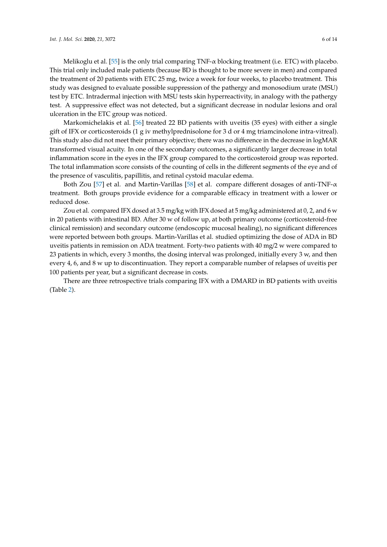Melikoglu et al. [\[55\]](#page-12-19) is the only trial comparing  $TNF-\alpha$  blocking treatment (i.e. ETC) with placebo. This trial only included male patients (because BD is thought to be more severe in men) and compared the treatment of 20 patients with ETC 25 mg, twice a week for four weeks, to placebo treatment. This study was designed to evaluate possible suppression of the pathergy and monosodium urate (MSU) test by ETC. Intradermal injection with MSU tests skin hyperreactivity, in analogy with the pathergy test. A suppressive effect was not detected, but a significant decrease in nodular lesions and oral ulceration in the ETC group was noticed.

Markomichelakis et al. [\[56\]](#page-13-0) treated 22 BD patients with uveitis (35 eyes) with either a single gift of IFX or corticosteroids (1 g iv methylprednisolone for 3 d or 4 mg triamcinolone intra-vitreal). This study also did not meet their primary objective; there was no difference in the decrease in logMAR transformed visual acuity. In one of the secondary outcomes, a significantly larger decrease in total inflammation score in the eyes in the IFX group compared to the corticosteroid group was reported. The total inflammation score consists of the counting of cells in the different segments of the eye and of the presence of vasculitis, papillitis, and retinal cystoid macular edema.

Both Zou [\[57\]](#page-13-1) et al. and Martin-Varillas [\[58\]](#page-13-2) et al. compare different dosages of anti-TNF-α treatment. Both groups provide evidence for a comparable efficacy in treatment with a lower or reduced dose.

Zou et al. compared IFX dosed at 3.5 mg/kg with IFX dosed at 5 mg/kg administered at 0, 2, and 6  $w$ in 20 patients with intestinal BD. After 30 w of follow up, at both primary outcome (corticosteroid-free clinical remission) and secondary outcome (endoscopic mucosal healing), no significant differences were reported between both groups. Martin-Varillas et al. studied optimizing the dose of ADA in BD uveitis patients in remission on ADA treatment. Forty-two patients with 40 mg/2 w were compared to 23 patients in which, every 3 months, the dosing interval was prolonged, initially every 3 w, and then every 4, 6, and 8 w up to discontinuation. They report a comparable number of relapses of uveitis per 100 patients per year, but a significant decrease in costs.

There are three retrospective trials comparing IFX with a DMARD in BD patients with uveitis (Table [2\)](#page-6-0).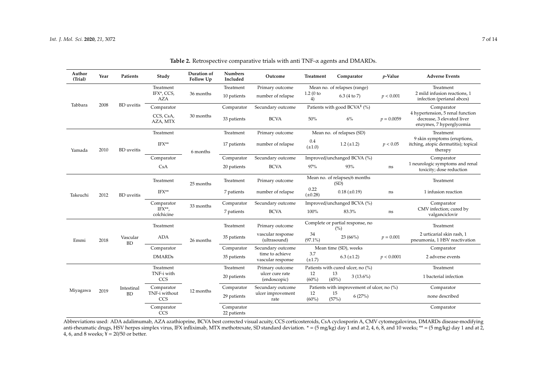| Author<br>(Trial) | Year | Patients                | Study                                 | Duration of<br>Follow Up | <b>Numbers</b><br>Included | Outcome                              | Treatment                               | Comparator                                 | $p$ -Value   | <b>Adverse Events</b>                                                                      |
|-------------------|------|-------------------------|---------------------------------------|--------------------------|----------------------------|--------------------------------------|-----------------------------------------|--------------------------------------------|--------------|--------------------------------------------------------------------------------------------|
| Tabbara           |      |                         | Treatment<br>IFX*, CCS,<br><b>AZA</b> | 36 months                | Treatment                  | Primary outcome                      |                                         | Mean no. of relapses (range)               |              | Treatment                                                                                  |
|                   |      |                         |                                       |                          | 10 patients                | number of relapse                    | 1.2(0)<br>4)                            | 6.3 (4 to 7)                               | p < 0.001    | 2 mild infusion reactions, 1<br>infection (perianal abces)                                 |
|                   | 2008 | <b>BD</b> uveitis       | Comparator                            |                          | Comparator                 | Secundary outcome                    | Patients with good BCVA $4$ (%)         |                                            |              | Comparator                                                                                 |
|                   |      |                         | CCS, CsA,<br>AZA, MTX                 | 30 months                | 33 patients                | <b>BCVA</b>                          | 50%                                     | 6%                                         | $p = 0.0059$ | 4 hypertension, 5 renal function<br>decrease, 3 elevated liver<br>enzymes, 7 hyperglycemia |
|                   |      |                         | Treatment                             |                          | Treatment                  | Primary outcome                      | Mean no. of relapses (SD)               |                                            |              | Treatment                                                                                  |
| Yamada            | 2010 | <b>BD</b> uveitis       | IFX**                                 | 6 months                 | 17 patients                | number of relapse                    | 0.4<br>$(\pm 1.0)$                      | $1.2 (\pm 1.2)$                            | p < 0.05     | 9 skin symptoms (eruptions,<br>itching, atopic dermatitis); topical<br>therapy             |
|                   |      |                         | Comparator                            |                          | Comparator                 | Secundary outcome                    |                                         | Improved/unchanged BCVA (%)                |              | Comparator                                                                                 |
|                   |      |                         | CsA                                   |                          | 20 patients                | <b>BCVA</b>                          | 97%                                     | 93%                                        | ns           | 1 neurologic symptoms and renal<br>toxicity; dose reduction                                |
| Takeuchi          |      | <b>BD</b> uveitis       | Treatment                             | 25 months                | Treatment                  | Primary outcome                      | Mean no. of relapses/6 months<br>(SD)   |                                            |              | Treatment                                                                                  |
|                   | 2012 |                         | $IFX**$                               |                          | 7 patients                 | number of relapse                    | 0.22<br>$(\pm 0.28)$                    | $0.18 (\pm 0.19)$                          | ns           | 1 infusion reaction                                                                        |
|                   |      |                         | Comparator                            | 33 months                | Comparator                 | Secundary outcome                    |                                         | Improved/unchanged BCVA (%)                |              | Comparator                                                                                 |
|                   |      |                         | $IFX^{**}$ ,<br>colchicine            |                          | 7 patients                 | <b>BCVA</b>                          | 100%                                    | 83.3%                                      | ns           | CMV infection; cured by<br>valganciclovir                                                  |
| Emmi              |      | Vascular<br><b>BD</b>   | Treatment                             |                          | Treatment                  | Primary outcome                      | Complete or partial response, no<br>(%) |                                            |              | Treatment                                                                                  |
|                   | 2018 |                         | ADA                                   | 26 months                | 35 patients                | vascular response<br>(ultrasound)    | 34<br>$(97.1\%)$                        | 23(66%)                                    | $p = 0.001$  | 2 urticarial skin rash, 1<br>pneumonia, 1 HSV reactivation                                 |
|                   |      |                         | Comparator                            |                          | Comparator                 | Secundary outcome                    | Mean time (SD), weeks                   |                                            |              | Comparator                                                                                 |
|                   |      |                         | <b>DMARDs</b>                         |                          | 35 patients                | time to achieve<br>vascular response | 3.7<br>$(\pm 1.7)$                      | $6.3 \ (\pm 1.2)$                          | p < 0.0001   | 2 adverse events                                                                           |
| Miyagawa          |      | Intestinal<br><b>BD</b> | Treatment                             |                          | Treatment                  | Primary outcome                      |                                         | Patients with cured ulcer, no (%)          |              | Treatment                                                                                  |
|                   |      |                         | TNF-i with<br>CCS                     |                          | 20 patients                | ulcer cure rate<br>(endoscopic)      | 12<br>$(60\%)$                          | 13<br>$3(13.6\%)$<br>(45%)                 |              | 1 bacterial infection                                                                      |
|                   | 2019 |                         | Comparator                            | 12 months                | Comparator                 | Secundary outcome                    |                                         | Patients with improvement of ulcer, no (%) |              | Comparator                                                                                 |
|                   |      |                         | TNF-i without<br><b>CCS</b>           |                          | 29 patients                | ulcer improvement<br>rate            | 12<br>$(60\%)$                          | 15<br>6(27%)<br>(57%)                      |              | none described                                                                             |
|                   |      |                         | Comparator<br>CCS                     |                          | Comparator<br>22 patients  |                                      |                                         |                                            |              | Comparator                                                                                 |

**Table 2.** Retrospective comparative trials with anti TNF-α agents and DMARDs.

<span id="page-6-0"></span>Abbreviations used: ADA adalimumab, AZA azathioprine, BCVA best corrected visual acuity, CCS corticosteroids, CsA cyclosporin A, CMV cytomegalovirus, DMARDs disease-modifying anti-rheumatic drugs, HSV herpes simplex virus, IFX infliximab, MTX methotrexate, SD standard deviation. \* = (5 mg/kg) day 1 and at 2, 4, 6, 8, and 10 weeks; \*\* = (5 mg/kg) day 1 and at 2, 4, 6, and 8 weeks;  $\overline{Y} = 20/50$  or better.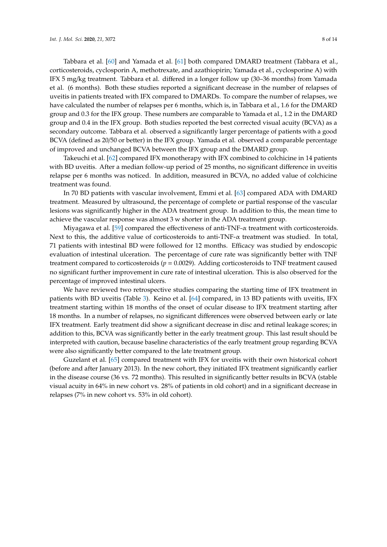Tabbara et al. [\[60\]](#page-13-4) and Yamada et al. [\[61\]](#page-13-5) both compared DMARD treatment (Tabbara et al., corticosteroids, cyclosporin A, methotrexate, and azathiopirin; Yamada et al., cyclosporine A) with IFX 5 mg/kg treatment. Tabbara et al. differed in a longer follow up (30–36 months) from Yamada et al. (6 months). Both these studies reported a significant decrease in the number of relapses of uveitis in patients treated with IFX compared to DMARDs. To compare the number of relapses, we have calculated the number of relapses per 6 months, which is, in Tabbara et al., 1.6 for the DMARD group and 0.3 for the IFX group. These numbers are comparable to Yamada et al., 1.2 in the DMARD group and 0.4 in the IFX group. Both studies reported the best corrected visual acuity (BCVA) as a secondary outcome. Tabbara et al. observed a significantly larger percentage of patients with a good BCVA (defined as 20/50 or better) in the IFX group. Yamada et al. observed a comparable percentage of improved and unchanged BCVA between the IFX group and the DMARD group.

Takeuchi et al. [\[62\]](#page-13-6) compared IFX monotherapy with IFX combined to colchicine in 14 patients with BD uveitis. After a median follow-up period of 25 months, no significant difference in uveitis relapse per 6 months was noticed. In addition, measured in BCVA, no added value of colchicine treatment was found.

In 70 BD patients with vascular involvement, Emmi et al. [\[63\]](#page-13-7) compared ADA with DMARD treatment. Measured by ultrasound, the percentage of complete or partial response of the vascular lesions was significantly higher in the ADA treatment group. In addition to this, the mean time to achieve the vascular response was almost 3 w shorter in the ADA treatment group.

Miyagawa et al. [\[59\]](#page-13-3) compared the effectiveness of anti-TNF- $\alpha$  treatment with corticosteroids. Next to this, the additive value of corticosteroids to anti-TNF- $\alpha$  treatment was studied. In total, 71 patients with intestinal BD were followed for 12 months. Efficacy was studied by endoscopic evaluation of intestinal ulceration. The percentage of cure rate was significantly better with TNF treatment compared to corticosteroids  $(p = 0.0029)$ . Adding corticosteroids to TNF treatment caused no significant further improvement in cure rate of intestinal ulceration. This is also observed for the percentage of improved intestinal ulcers.

We have reviewed two retrospective studies comparing the starting time of IFX treatment in patients with BD uveitis (Table [3\)](#page-8-0). Keino et al. [\[64\]](#page-13-8) compared, in 13 BD patients with uveitis, IFX treatment starting within 18 months of the onset of ocular disease to IFX treatment starting after 18 months. In a number of relapses, no significant differences were observed between early or late IFX treatment. Early treatment did show a significant decrease in disc and retinal leakage scores; in addition to this, BCVA was significantly better in the early treatment group. This last result should be interpreted with caution, because baseline characteristics of the early treatment group regarding BCVA were also significantly better compared to the late treatment group.

Guzelant et al. [\[65\]](#page-13-9) compared treatment with IFX for uveitis with their own historical cohort (before and after January 2013). In the new cohort, they initiated IFX treatment significantly earlier in the disease course (36 vs. 72 months). This resulted in significantly better results in BCVA (stable visual acuity in 64% in new cohort vs. 28% of patients in old cohort) and in a significant decrease in relapses (7% in new cohort vs. 53% in old cohort).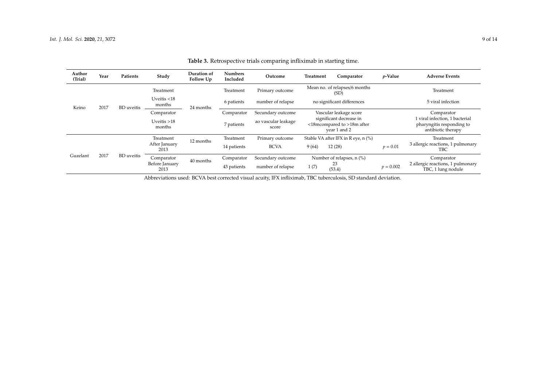| Author<br>(Trial) | Year | Patients          | Study                    | Duration of<br>Follow Up | <b>Numbers</b><br>Included | Outcome                             | Treatment                                                                                       | Comparator | <i>p</i> -Value | <b>Adverse Events</b>                                                             |
|-------------------|------|-------------------|--------------------------|--------------------------|----------------------------|-------------------------------------|-------------------------------------------------------------------------------------------------|------------|-----------------|-----------------------------------------------------------------------------------|
| Keino             |      | <b>BD</b> uveitis | Treatment                | 24 months                | Treatment                  | Primary outcome                     | Mean no. of relapses/6 months<br>(SD)                                                           |            |                 | Treatment                                                                         |
|                   | 2017 |                   | Uveitis $<$ 18<br>months |                          | 6 patients                 | number of relapse                   | no significant differences                                                                      |            |                 | 5 viral infection                                                                 |
|                   |      |                   | Comparator               |                          | Comparator                 | Secundary outcome                   | Vascular leakage score<br>significant decrease in<br><18mcompared to >18m after<br>vear 1 and 2 |            |                 | Comparator                                                                        |
|                   |      |                   | Uveitis $>18$<br>months  |                          | 7 patients                 | ao vascular leakage<br>score        |                                                                                                 |            |                 | 1 viral infection, 1 bacterial<br>pharyngitis responding to<br>antibiotic therapy |
| 2017<br>Guzelant  |      | Treatment         | 12 months                |                          | Primary outcome            | Stable VA after IFX in R eye, n (%) |                                                                                                 |            | Treatment       |                                                                                   |
|                   |      | BD uveitis        | After January<br>2013    |                          | 14 patients                | <b>BCVA</b>                         | 9(64)                                                                                           | 12(28)     | $p = 0.01$      | 3 allergic reactions, 1 pulmonary<br>TBC                                          |
|                   |      |                   | Comparator               | 40 months                | Comparator                 | Secundary outcome                   | Number of relapses, $n$ (%)<br>23<br>1(7)<br>(53.4)                                             |            |                 | Comparator                                                                        |
|                   |      |                   | Before January<br>2013   |                          | 43 patients                | number of relapse                   |                                                                                                 |            | $p = 0.002$     | 2 allergic reactions, 1 pulmonary<br>TBC, 1 lung nodule                           |

**Table 3.** Retrospective trials comparing infliximab in starting time.

<span id="page-8-0"></span>Abbreviations used: BCVA best corrected visual acuity, IFX infliximab, TBC tuberculosis, SD standard deviation.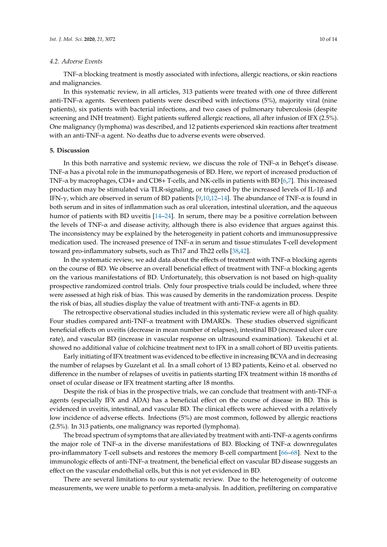## *4.2. Adverse Events*

TNF-α blocking treatment is mostly associated with infections, allergic reactions, or skin reactions and malignancies.

In this systematic review, in all articles, 313 patients were treated with one of three different anti-TNF-α agents. Seventeen patients were described with infections (5%), majority viral (nine patients), six patients with bacterial infections, and two cases of pulmonary tuberculosis (despite screening and INH treatment). Eight patients suffered allergic reactions, all after infusion of IFX (2.5%). One malignancy (lymphoma) was described, and 12 patients experienced skin reactions after treatment with an anti-TNF-α agent. No deaths due to adverse events were observed.

#### **5. Discussion**

In this both narrative and systemic review, we discuss the role of TNF-α in Behçet's disease. TNF-α has a pivotal role in the immunopathogenesis of BD. Here, we report of increased production of TNF-α by macrophages, CD4+ and CD8+ T-cells, and NK-cells in patients with BD [\[6,](#page-10-5)[7\]](#page-10-6). This increased production may be stimulated via TLR-signaling, or triggered by the increased levels of IL-1β and IFN-γ, which are observed in serum of BD patients [\[9](#page-10-8)[,10](#page-10-9)[,12–](#page-10-11)[14\]](#page-10-12). The abundance of TNF-α is found in both serum and in sites of inflammation such as oral ulceration, intestinal ulceration, and the aqueous humor of patients with BD uveitis [\[14](#page-10-12)[–24\]](#page-11-7). In serum, there may be a positive correlation between the levels of  $TNF-\alpha$  and disease activity, although there is also evidence that argues against this. The inconsistency may be explained by the heterogeneity in patient cohorts and immunosuppressive medication used. The increased presence of  $TNF-\alpha$  in serum and tissue stimulates T-cell development toward pro-inflammatory subsets, such as Th17 and Th22 cells [\[38,](#page-12-3)[42\]](#page-12-6).

In the systematic review, we add data about the effects of treatment with  $\text{TNF-}\alpha$  blocking agents on the course of BD. We observe an overall beneficial effect of treatment with TNF-α blocking agents on the various manifestations of BD. Unfortunately, this observation is not based on high-quality prospective randomized control trials. Only four prospective trials could be included, where three were assessed at high risk of bias. This was caused by demerits in the randomization process. Despite the risk of bias, all studies display the value of treatment with anti-TNF- $\alpha$  agents in BD.

The retrospective observational studies included in this systematic review were all of high quality. Four studies compared anti-TNF- $\alpha$  treatment with DMARDs. These studies observed significant beneficial effects on uveitis (decrease in mean number of relapses), intestinal BD (increased ulcer cure rate), and vascular BD (increase in vascular response on ultrasound examination). Takeuchi et al. showed no additional value of colchicine treatment next to IFX in a small cohort of BD uveitis patients.

Early initiating of IFX treatment was evidenced to be effective in increasing BCVA and in decreasing the number of relapses by Guzelant et al. In a small cohort of 13 BD patients, Keino et al. observed no difference in the number of relapses of uveitis in patients starting IFX treatment within 18 months of onset of ocular disease or IFX treatment starting after 18 months.

Despite the risk of bias in the prospective trials, we can conclude that treatment with anti-TNF- $\alpha$ agents (especially IFX and ADA) has a beneficial effect on the course of disease in BD. This is evidenced in uveitis, intestinal, and vascular BD. The clinical effects were achieved with a relatively low incidence of adverse effects. Infections (5%) are most common, followed by allergic reactions (2.5%). In 313 patients, one malignancy was reported (lymphoma).

The broad spectrum of symptoms that are alleviated by treatment with anti-TNF-α agents confirms the major role of TNF-α in the diverse manifestations of BD. Blocking of TNF-α downregulates pro-inflammatory T-cell subsets and restores the memory B-cell compartment [\[66–](#page-13-10)[68\]](#page-13-11). Next to the immunologic effects of anti-TNF-α treatment, the beneficial effect on vascular BD disease suggests an effect on the vascular endothelial cells, but this is not yet evidenced in BD.

There are several limitations to our systematic review. Due to the heterogeneity of outcome measurements, we were unable to perform a meta-analysis. In addition, prefiltering on comparative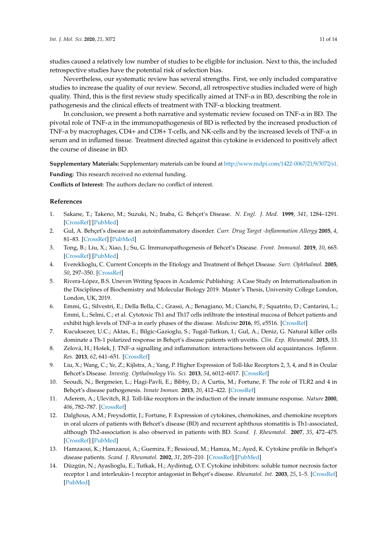studies caused a relatively low number of studies to be eligible for inclusion. Next to this, the included retrospective studies have the potential risk of selection bias.

Nevertheless, our systematic review has several strengths. First, we only included comparative studies to increase the quality of our review. Second, all retrospective studies included were of high quality. Third, this is the first review study specifically aimed at TNF- $\alpha$  in BD, describing the role in pathogenesis and the clinical effects of treatment with TNF-α blocking treatment.

In conclusion, we present a both narrative and systematic review focused on TNF-α in BD. The pivotal role of TNF-α in the immunopathogenesis of BD is reflected by the increased production of TNF-α by macrophages, CD4+ and CD8+ T-cells, and NK-cells and by the increased levels of TNF-α in serum and in inflamed tissue. Treatment directed against this cytokine is evidenced to positively affect the course of disease in BD.

**Supplementary Materials:** Supplementary materials can be found at http://[www.mdpi.com](http://www.mdpi.com/1422-0067/21/9/3072/s1)/1422-0067/21/9/3072/s1.

**Funding:** This research received no external funding.

**Conflicts of Interest:** The authors declare no conflict of interest.

## **References**

- <span id="page-10-0"></span>1. Sakane, T.; Takeno, M.; Suzuki, N.; Inaba, G. Behçet's Disease. *N. Engl. J. Med.* **1999**, *341*, 1284–1291. [\[CrossRef\]](http://dx.doi.org/10.1056/NEJM199910213411707) [\[PubMed\]](http://www.ncbi.nlm.nih.gov/pubmed/10528040)
- <span id="page-10-1"></span>2. Gul, A. Behçet's disease as an autoinflammatory disorder. *Curr. Drug Target -Inflammation Allergy* **2005**, *4*, 81–83. [\[CrossRef\]](http://dx.doi.org/10.2174/1568010053622894) [\[PubMed\]](http://www.ncbi.nlm.nih.gov/pubmed/15720240)
- <span id="page-10-2"></span>3. Tong, B.; Liu, X.; Xiao, J.; Su, G. Immunopathogenesis of Behcet's Disease. *Front. Immunol.* **2019**, *10*, 665. [\[CrossRef\]](http://dx.doi.org/10.3389/fimmu.2019.00665) [\[PubMed\]](http://www.ncbi.nlm.nih.gov/pubmed/30984205)
- <span id="page-10-3"></span>4. Evereklioglu, C. Current Concepts in the Etiology and Treatment of Behçet Disease. *Surv. Ophthalmol.* **2005**, *50*, 297–350. [\[CrossRef\]](http://dx.doi.org/10.1016/j.survophthal.2005.04.009)
- <span id="page-10-4"></span>5. Rivera-López, B.S. Uneven Writing Spaces in Academic Publishing: A Case Study on Internationalisation in the Disciplines of Biochemistry and Molecular Biology 2019. Master's Thesis, University College London, London, UK, 2019.
- <span id="page-10-5"></span>6. Emmi, G.; Silvestri, E.; Della Bella, C.; Grassi, A.; Benagiano, M.; Cianchi, F.; Squatrito, D.; Cantarini, L.; Emmi, L.; Selmi, C.; et al. Cytotoxic Th1 and Th17 cells infiltrate the intestinal mucosa of Behcet patients and exhibit high levels of TNF-α in early phases of the disease. *Medicine* **2016**, *95*, e5516. [\[CrossRef\]](http://dx.doi.org/10.1097/MD.0000000000005516)
- <span id="page-10-6"></span>7. Kucuksezer, U.C.; Aktas, E.; Bilgic-Gazioglu, S.; Tugal-Tutkun, I.; Gul, A.; Deniz, G. Natural killer cells dominate a Th-1 polarized response in Behçet's disease patients with uveitis. *Clin. Exp. Rheumatol.* **2015**, *33*.
- <span id="page-10-7"></span>8. Zelová, H.; Hošek, J. TNF-α signalling and inflammation: interactions between old acquaintances. *Inflamm. Res.* **2013**, *62*, 641–651. [\[CrossRef\]](http://dx.doi.org/10.1007/s00011-013-0633-0)
- <span id="page-10-8"></span>9. Liu, X.; Wang, C.; Ye, Z.; Kijlstra, A.; Yang, P. Higher Expression of Toll-like Receptors 2, 3, 4, and 8 in Ocular Behcet's Disease. *Investig. Opthalmology Vis. Sci.* **2013**, *54*, 6012–6017. [\[CrossRef\]](http://dx.doi.org/10.1167/iovs.13-12159)
- <span id="page-10-9"></span>10. Seoudi, N.; Bergmeier, L.; Hagi-Pavli, E.; Bibby, D.; A Curtis, M.; Fortune, F. The role of TLR2 and 4 in Behçet's disease pathogenesis. *Innate Immun.* **2013**, *20*, 412–422. [\[CrossRef\]](http://dx.doi.org/10.1177/1753425913498042)
- <span id="page-10-10"></span>11. Aderem, A.; Ulevitch, R.J. Toll-like receptors in the induction of the innate immune response. *Nature* **2000**, *406*, 782–787. [\[CrossRef\]](http://dx.doi.org/10.1038/35021228)
- <span id="page-10-11"></span>12. Dalghous, A.M.; Freysdottir, J.; Fortune, F. Expression of cytokines, chemokines, and chemokine receptors in oral ulcers of patients with Behcet's disease (BD) and recurrent aphthous stomatitis is Th1-associated, although Th2-association is also observed in patients with BD. *Scand. J. Rheumatol.* **2007**, *35*, 472–475. [\[CrossRef\]](http://dx.doi.org/10.1080/03009740600905380) [\[PubMed\]](http://www.ncbi.nlm.nih.gov/pubmed/17343257)
- 13. Hamzaoui, K.; Hamzaoui, A.; Guemira, F.; Bessioud, M.; Hamza, M.; Ayed, K. Cytokine profile in Behçet's disease patients. *Scand. J. Rheumatol.* **2002**, *31*, 205–210. [\[CrossRef\]](http://dx.doi.org/10.1080/030097402320318387) [\[PubMed\]](http://www.ncbi.nlm.nih.gov/pubmed/12369651)
- <span id="page-10-12"></span>14. Düzgün, N.; Ayaslioglu, E.; Tutkak, H.; Aydintuğ, O.T. Cytokine inhibitors: soluble tumor necrosis factor receptor 1 and interleukin-1 receptor antagonist in Behçet's disease. *Rheumatol. Int.* **2003**, *25*, 1–5. [\[CrossRef\]](http://dx.doi.org/10.1007/s00296-003-0400-6) [\[PubMed\]](http://www.ncbi.nlm.nih.gov/pubmed/14600787)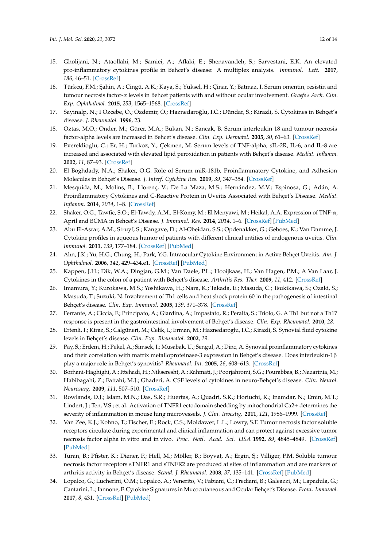- <span id="page-11-0"></span>15. Gholijani, N.; Ataollahi, M.; Samiei, A.; Aflaki, E.; Shenavandeh, S.; Sarvestani, E.K. An elevated pro-inflammatory cytokines profile in Behcet's disease: A multiplex analysis. *Immunol. Lett.* **2017**, *186*, 46–51. [\[CrossRef\]](http://dx.doi.org/10.1016/j.imlet.2016.12.001)
- 16. Türkcü, F.M.; ¸Sahin, A.; Cingü, A.K.; Kaya, S.; Yüksel, H.; Çinar, Y.; Batmaz, I. Serum omentin, resistin and tumour necrosis factor-α levels in Behcet patients with and without ocular involvement. *Graefe's Arch. Clin. Exp. Ophthalmol.* **2015**, *253*, 1565–1568. [\[CrossRef\]](http://dx.doi.org/10.1007/s00417-015-3016-0)
- <span id="page-11-4"></span>17. Sayinalp, N.; I Ozcebe, O.; Ozdemir, O.; Haznedaroğlu, I.C.; Dündar, S.; Kirazli, S. Cytokines in Behçet's disease. *J. Rheumatol.* **1996**, 23.
- 18. Oztas, M.O.; Onder, M.; Gürer, M.A.; Bukan, N.; Sancak, B. Serum interleukin 18 and tumour necrosis factor-alpha levels are increased in Behcet's disease. *Clin. Exp. Dermatol.* **2005**, *30*, 61–63. [\[CrossRef\]](http://dx.doi.org/10.1111/j.1365-2230.2004.01684.x)
- <span id="page-11-2"></span>19. Evereklioglu, C.; Er, H.; Turkoz, Y.; Çekmen, M. Serum levels of TNF-alpha, sIL-2R, IL-6, and IL-8 are increased and associated with elevated lipid peroxidation in patients with Behçet's disease. *Mediat. Inflamm.* **2002**, *11*, 87–93. [\[CrossRef\]](http://dx.doi.org/10.1080/09629350220131935)
- <span id="page-11-5"></span>20. El Boghdady, N.A.; Shaker, O.G. Role of Serum miR-181b, Proinflammatory Cytokine, and Adhesion Molecules in Behçet's Disease. *J. Interf. Cytokine Res.* **2019**, *39*, 347–354. [\[CrossRef\]](http://dx.doi.org/10.1089/jir.2018.0116)
- <span id="page-11-3"></span>21. Mesquida, M.; Molins, B.; Llorenç, V.; De La Maza, M.S.; Hernández, M.V.; Espinosa, G.; Adán, A. Proinflammatory Cytokines and C-Reactive Protein in Uveitis Associated with Behçet's Disease. *Mediat. Inflamm.* **2014**, *2014*, 1–8. [\[CrossRef\]](http://dx.doi.org/10.1155/2014/396204)
- <span id="page-11-1"></span>22. Shaker, O.G.; Tawfic, S.O.; El-Tawdy, A.M.; El-Komy, M.; El Menyawi, M.; Heikal, A.A. Expression of TNF-α, April and BCMA in Behcet's Disease. *J. Immunol. Res.* **2014**, *2014*, 1–6. [\[CrossRef\]](http://dx.doi.org/10.1155/2014/380405) [\[PubMed\]](http://www.ncbi.nlm.nih.gov/pubmed/25759827)
- <span id="page-11-6"></span>23. Abu El-Asrar, A.M.; Struyf, S.; Kangave, D.; Al-Obeidan, S.S.; Opdenakker, G.; Geboes, K.; Van Damme, J. Cytokine profiles in aqueous humor of patients with different clinical entities of endogenous uveitis. *Clin. Immunol.* **2011**, *139*, 177–184. [\[CrossRef\]](http://dx.doi.org/10.1016/j.clim.2011.01.014) [\[PubMed\]](http://www.ncbi.nlm.nih.gov/pubmed/21334264)
- <span id="page-11-7"></span>24. Ahn, J.K.; Yu, H.G.; Chung, H.; Park, Y.G. Intraocular Cytokine Environment in Active Behçet Uveitis. *Am. J. Ophthalmol.* **2006**, *142*, 429–434.e1. [\[CrossRef\]](http://dx.doi.org/10.1016/j.ajo.2006.04.016) [\[PubMed\]](http://www.ncbi.nlm.nih.gov/pubmed/16935587)
- <span id="page-11-8"></span>25. Kappen, J.H.; Dik, W.A.; Dingjan, G.M.; Van Daele, P.L.; Hooijkaas, H.; Van Hagen, P.M.; A Van Laar, J. Cytokines in the colon of a patient with Behçet's disease. *Arthritis Res. Ther.* **2009**, *11*, 412. [\[CrossRef\]](http://dx.doi.org/10.1186/ar2784)
- 26. Imamura, Y.; Kurokawa, M.S.; Yoshikawa, H.; Nara, K.; Takada, E.; Masuda, C.; Tsukikawa, S.; Ozaki, S.; Matsuda, T.; Suzuki, N. Involvement of Th1 cells and heat shock protein 60 in the pathogenesis of intestinal Behçet's disease. *Clin. Exp. Immunol.* **2005**, *139*, 371–378. [\[CrossRef\]](http://dx.doi.org/10.1111/j.1365-2249.2005.02695.x)
- <span id="page-11-9"></span>27. Ferrante, A.; Ciccia, F.; Principato, A.; Giardina, A.; Impastato, R.; Peralta, S.; Triolo, G. A Th1 but not a Th17 response is present in the gastrointestinal involvement of Behçet's disease. *Clin. Exp. Rheumatol.* **2010**, *28*.
- <span id="page-11-10"></span>28. Ertenli, I.; Kiraz, S.; Calgüneri, M.; Celik, I.; Erman, M.; Haznedaroglu, I.C.; Kirazli, S. Synovial fluid cytokine levels in Behçet's disease. *Clin. Exp. Rheumatol.* **2002**, *19*.
- <span id="page-11-11"></span>29. Pay, S.; Erdem, H.; Pekel, A.; Simsek, I.; Musabak, U.; Sengul, A.; Dinc, A. Synovial proinflammatory cytokines and their correlation with matrix metalloproteinase-3 expression in Behçet's disease. Does interleukin-1β play a major role in Behçet's synovitis? *Rheumatol. Int.* **2005**, *26*, 608–613. [\[CrossRef\]](http://dx.doi.org/10.1007/s00296-005-0040-0)
- <span id="page-11-12"></span>30. Borhani-Haghighi, A.; Ittehadi, H.; Nikseresht, A.; Rahmati, J.; Poorjahromi, S.G.; Pourabbas, B.; Nazarinia, M.; Habibagahi, Z.; Fattahi, M.J.; Ghaderi, A. CSF levels of cytokines in neuro-Behçet's disease. *Clin. Neurol. Neurosurg.* **2009**, *111*, 507–510. [\[CrossRef\]](http://dx.doi.org/10.1016/j.clineuro.2009.02.001)
- <span id="page-11-13"></span>31. Rowlands, D.J.; Islam, M.N.; Das, S.R.; Huertas, A.; Quadri, S.K.; Horiuchi, K.; Inamdar, N.; Emin, M.T.; Lindert, J.; Ten, V.S.; et al. Activation of TNFR1 ectodomain shedding by mitochondrial Ca2+ determines the severity of inflammation in mouse lung microvessels. *J. Clin. Investig.* **2011**, *121*, 1986–1999. [\[CrossRef\]](http://dx.doi.org/10.1172/JCI43839)
- <span id="page-11-14"></span>32. Van Zee, K.J.; Kohno, T.; Fischer, E.; Rock, C.S.; Moldawer, L.L.; Lowry, S.F. Tumor necrosis factor soluble receptors circulate during experimental and clinical inflammation and can protect against excessive tumor necrosis factor alpha in vitro and in vivo. *Proc. Natl. Acad. Sci. USA* **1992**, *89*, 4845–4849. [\[CrossRef\]](http://dx.doi.org/10.1073/pnas.89.11.4845) [\[PubMed\]](http://www.ncbi.nlm.nih.gov/pubmed/1317575)
- <span id="page-11-15"></span>33. Turan, B.; Pfister, K.; Diener, P.; Hell, M.; Möller, B.; Boyvat, A.; Ergin, Ş.; Villiger, P.M. Soluble tumour necrosis factor receptors sTNFR1 and sTNFR2 are produced at sites of inflammation and are markers of arthritis activity in Behçet's disease. *Scand. J. Rheumatol.* **2008**, *37*, 135–141. [\[CrossRef\]](http://dx.doi.org/10.1080/03009740701747137) [\[PubMed\]](http://www.ncbi.nlm.nih.gov/pubmed/18415772)
- <span id="page-11-16"></span>34. Lopalco, G.; Lucherini, O.M.; Lopalco, A.; Venerito, V.; Fabiani, C.; Frediani, B.; Galeazzi, M.; Lapadula, G.; Cantarini, L.; Iannone, F. Cytokine Signatures in Mucocutaneous and Ocular Behçet's Disease. *Front. Immunol.* **2017**, *8*, 431. [\[CrossRef\]](http://dx.doi.org/10.3389/fimmu.2017.00200) [\[PubMed\]](http://www.ncbi.nlm.nih.gov/pubmed/28289419)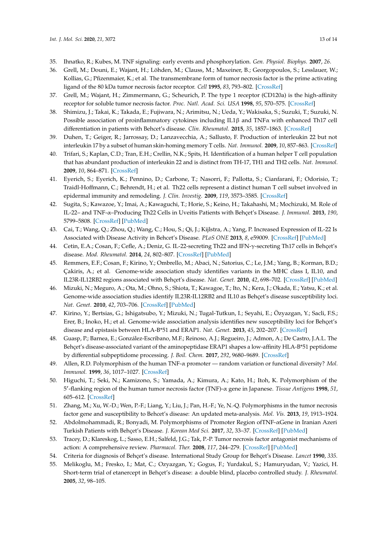- <span id="page-12-0"></span>35. Ihnatko, R.; Kubes, M. TNF signaling: early events and phosphorylation. *Gen. Physiol. Biophys.* **2007**, *26*.
- <span id="page-12-1"></span>36. Grell, M.; Douni, E.; Wajant, H.; Löhden, M.; Clauss, M.; Maxeiner, B.; Georgopoulos, S.; Lesslauer, W.; Kollias, G.; Pfizenmaier, K.; et al. The transmembrane form of tumor necrosis factor is the prime activating ligand of the 80 kDa tumor necrosis factor receptor. *Cell* **1995**, *83*, 793–802. [\[CrossRef\]](http://dx.doi.org/10.1016/0092-8674(95)90192-2)
- <span id="page-12-2"></span>37. Grell, M.; Wajant, H.; Zimmermann, G.; Scheurich, P. The type 1 receptor (CD120a) is the high-affinity receptor for soluble tumor necrosis factor. *Proc. Natl. Acad. Sci. USA* **1998**, *95*, 570–575. [\[CrossRef\]](http://dx.doi.org/10.1073/pnas.95.2.570)
- <span id="page-12-3"></span>38. Shimizu, J.; Takai, K.; Takada, E.; Fujiwara, N.; Arimitsu, N.; Ueda, Y.; Wakisaka, S.; Suzuki, T.; Suzuki, N. Possible association of proinflammatory cytokines including IL1β and TNFα with enhanced Th17 cell differentiation in patients with Behcet's disease. *Clin. Rheumatol.* **2015**, *35*, 1857–1863. [\[CrossRef\]](http://dx.doi.org/10.1007/s10067-015-2966-2)
- <span id="page-12-4"></span>39. Duhen, T.; Geiger, R.; Jarrossay, D.; Lanzavecchia, A.; Sallusto, F. Production of interleukin 22 but not interleukin 17 by a subset of human skin-homing memory T cells. *Nat. Immunol.* **2009**, *10*, 857–863. [\[CrossRef\]](http://dx.doi.org/10.1038/ni.1767)
- 40. Trifari, S.; Kaplan, C.D.; Tran, E.H.; Crellin, N.K.; Spits, H. Identification of a human helper T cell population that has abundant production of interleukin 22 and is distinct from TH-17, TH1 and TH2 cells. *Nat. Immunol.* **2009**, *10*, 864–871. [\[CrossRef\]](http://dx.doi.org/10.1038/ni.1770)
- <span id="page-12-5"></span>41. Eyerich, S.; Eyerich, K.; Pennino, D.; Carbone, T.; Nasorri, F.; Pallotta, S.; Cianfarani, F.; Odorisio, T.; Traidl-Hoffmann, C.; Behrendt, H.; et al. Th22 cells represent a distinct human T cell subset involved in epidermal immunity and remodeling. *J. Clin. Investig.* **2009**, *119*, 3573–3585. [\[CrossRef\]](http://dx.doi.org/10.1172/JCI40202)
- <span id="page-12-6"></span>42. Sugita, S.; Kawazoe, Y.; Imai, A.; Kawaguchi, T.; Horie, S.; Keino, H.; Takahashi, M.; Mochizuki, M. Role of IL-22– and TNF-α–Producing Th22 Cells in Uveitis Patients with Behçet's Disease. *J. Immunol.* **2013**, *190*, 5799–5808. [\[CrossRef\]](http://dx.doi.org/10.4049/jimmunol.1202677) [\[PubMed\]](http://www.ncbi.nlm.nih.gov/pubmed/23630362)
- <span id="page-12-7"></span>43. Cai, T.; Wang, Q.; Zhou, Q.; Wang, C.; Hou, S.; Qi, J.; Kijlstra, A.; Yang, P. Increased Expression of IL-22 Is Associated with Disease Activity in Behcet's Disease. *PLoS ONE* **2013**, *8*, e59009. [\[CrossRef\]](http://dx.doi.org/10.1371/journal.pone.0059009) [\[PubMed\]](http://www.ncbi.nlm.nih.gov/pubmed/23527071)
- <span id="page-12-8"></span>44. Cetin, E.A.; Cosan, F.; Cefle, A.; Deniz, G. IL-22-secreting Th22 and IFN-γ-secreting Th17 cells in Behçet's disease. *Mod. Rheumatol.* **2014**, *24*, 802–807. [\[CrossRef\]](http://dx.doi.org/10.3109/14397595.2013.879414) [\[PubMed\]](http://www.ncbi.nlm.nih.gov/pubmed/24498963)
- <span id="page-12-9"></span>45. Remmers, E.F.; Cosan, F.; Kirino, Y.; Ombrello, M.; Abaci, N.; Satorius, C.; Le, J.M.; Yang, B.; Korman, B.D.; Çakiris, A.; et al. Genome-wide association study identifies variants in the MHC class I, IL10, and IL23R-IL12RB2 regions associated with Behçet's disease. *Nat. Genet.* **2010**, *42*, 698–702. [\[CrossRef\]](http://dx.doi.org/10.1038/ng.625) [\[PubMed\]](http://www.ncbi.nlm.nih.gov/pubmed/20622878)
- <span id="page-12-10"></span>46. Mizuki, N.; Meguro, A.; Ota, M.; Ohno, S.; Shiota, T.; Kawagoe, T.; Ito, N.; Kera, J.; Okada, E.; Yatsu, K.; et al. Genome-wide association studies identify IL23R-IL12RB2 and IL10 as Behçet's disease susceptibility loci. *Nat. Genet.* **2010**, *42*, 703–706. [\[CrossRef\]](http://dx.doi.org/10.1038/ng.624) [\[PubMed\]](http://www.ncbi.nlm.nih.gov/pubmed/20622879)
- <span id="page-12-11"></span>47. Kirino, Y.; Bertsias, G.; Ishigatsubo, Y.; Mizuki, N.; Tugal-Tutkun, I.; Seyahi, E.; Özyazgan, Y.; Sacli, F.S.; Erer, B.; Inoko, H.; et al. Genome-wide association analysis identifies new susceptibility loci for Behçet's disease and epistasis between HLA-B\*51 and ERAP1. *Nat. Genet.* **2013**, *45*, 202–207. [\[CrossRef\]](http://dx.doi.org/10.1038/ng.2520)
- <span id="page-12-12"></span>48. Guasp, P.; Barnea, E.; González-Escribano, M.F.; Reinoso, A.J.; Regueiro, J.; Admon, A.; De Castro, J.A.L. The Behçet's disease-associated variant of the aminopeptidase ERAP1 shapes a low-affinity HLA-B\*51 peptidome by differential subpeptidome processing. *J. Boil. Chem.* **2017**, *292*, 9680–9689. [\[CrossRef\]](http://dx.doi.org/10.1074/jbc.M117.789180)
- <span id="page-12-13"></span>49. Allen, R.D. Polymorphism of the human TNF-α promoter — random variation or functional diversity? *Mol. Immunol.* **1999**, *36*, 1017–1027. [\[CrossRef\]](http://dx.doi.org/10.1016/S0161-5890(99)00127-3)
- <span id="page-12-15"></span>50. Higuchi, T.; Seki, N.; Kamizono, S.; Yamada, A.; Kimura, A.; Kato, H.; Itoh, K. Polymorphism of the 5 0 -flanking region of the human tumor necrosis factor (TNF)-α gene in Japanese. *Tissue Antigens* **1998**, *51*, 605–612. [\[CrossRef\]](http://dx.doi.org/10.1111/j.1399-0039.1998.tb03002.x)
- <span id="page-12-14"></span>51. Zhang, M.; Xu, W.-D.; Wen, P.-F.; Liang, Y.; Liu, J.; Pan, H.-F.; Ye, N.-Q. Polymorphisms in the tumor necrosis factor gene and susceptibility to Behcet's disease: An updated meta-analysis. *Mol. Vis.* **2013**, *19*, 1913–1924.
- <span id="page-12-16"></span>52. Abdolmohammadi, R.; Bonyadi, M. Polymorphisms of Promoter Region ofTNF-αGene in Iranian Azeri Turkish Patients with Behçet's Disease. *J. Korean Med Sci.* **2017**, *32*, 33–37. [\[CrossRef\]](http://dx.doi.org/10.3346/jkms.2017.32.1.33) [\[PubMed\]](http://www.ncbi.nlm.nih.gov/pubmed/27914129)
- <span id="page-12-17"></span>53. Tracey, D.; Klareskog, L.; Sasso, E.H.; Salfeld, J.G.; Tak, P.-P. Tumor necrosis factor antagonist mechanisms of action: A comprehensive review. *Pharmacol. Ther.* **2008**, *117*, 244–279. [\[CrossRef\]](http://dx.doi.org/10.1016/j.pharmthera.2007.10.001) [\[PubMed\]](http://www.ncbi.nlm.nih.gov/pubmed/18155297)
- <span id="page-12-18"></span>54. Criteria for diagnosis of Behçet's disease. International Study Group for Behçet's Disease. *Lancet* **1990**, *335*.
- <span id="page-12-19"></span>55. Melikoglu, M.; Fresko, I.; Mat, C.; Ozyazgan, Y.; Gogus, F.; Yurdakul, S.; Hamuryudan, V.; Yazici, H. Short-term trial of etanercept in Behçet's disease: a double blind, placebo controlled study. *J. Rheumatol.* **2005**, *32*, 98–105.